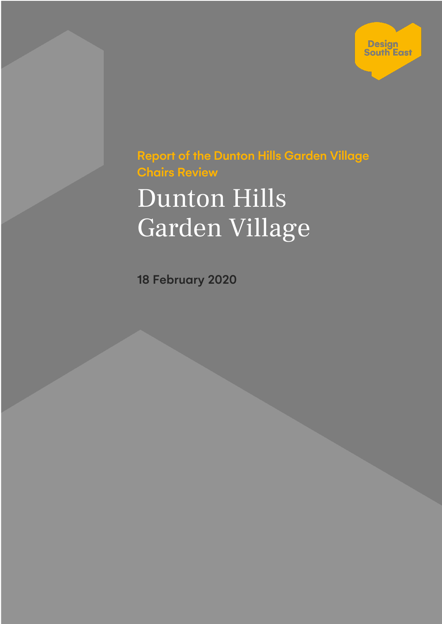

Report of the Dunton Hills Garden Village Chairs Review

# Dunton Hills Garden Village

18 February 2020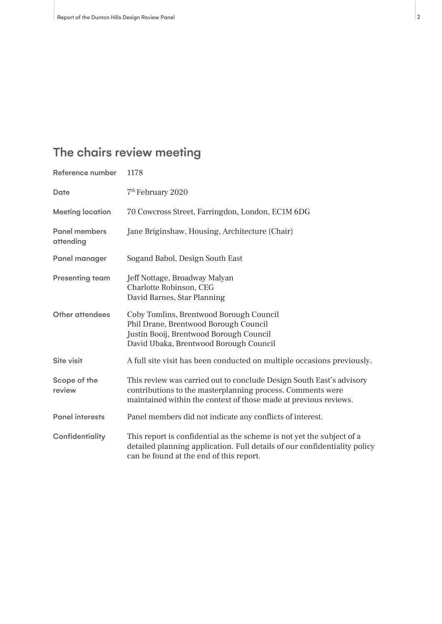# The chairs review meeting

| Reference number                  | 1178                                                                                                                                                                                                   |
|-----------------------------------|--------------------------------------------------------------------------------------------------------------------------------------------------------------------------------------------------------|
| Date                              | 7 <sup>th</sup> February 2020                                                                                                                                                                          |
| <b>Meeting location</b>           | 70 Cowcross Street, Farringdon, London, EC1M 6DG                                                                                                                                                       |
| <b>Panel members</b><br>attending | Jane Briginshaw, Housing, Architecture (Chair)                                                                                                                                                         |
| Panel manager                     | Sogand Babol, Design South East                                                                                                                                                                        |
| <b>Presenting team</b>            | Jeff Nottage, Broadway Malyan<br>Charlotte Robinson, CEG<br>David Barnes, Star Planning                                                                                                                |
| Other attendees                   | Coby Tomlins, Brentwood Borough Council<br>Phil Drane, Brentwood Borough Council<br>Justin Booij, Brentwood Borough Council<br>David Ubaka, Brentwood Borough Council                                  |
| Site visit                        | A full site visit has been conducted on multiple occasions previously.                                                                                                                                 |
| Scope of the<br>review            | This review was carried out to conclude Design South East's advisory<br>contributions to the masterplanning process. Comments were<br>maintained within the context of those made at previous reviews. |
| <b>Panel interests</b>            | Panel members did not indicate any conflicts of interest.                                                                                                                                              |
| Confidentiality                   | This report is confidential as the scheme is not yet the subject of a<br>detailed planning application. Full details of our confidentiality policy<br>can be found at the end of this report.          |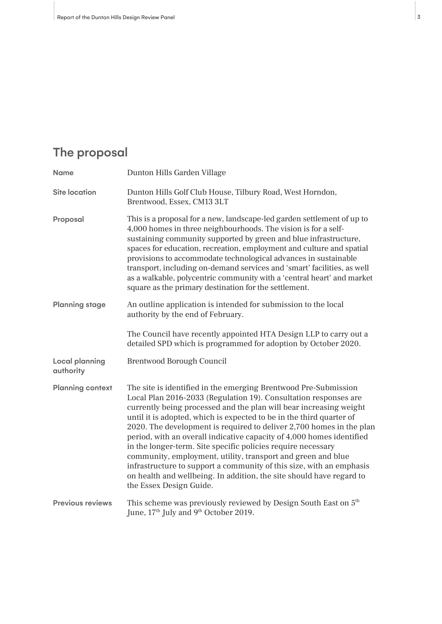## The proposal

| <b>Name</b>                        | Dunton Hills Garden Village                                                                                                                                                                                                                                                                                                                                                                                                                                                                                                                                                                                                                                                                                                                   |
|------------------------------------|-----------------------------------------------------------------------------------------------------------------------------------------------------------------------------------------------------------------------------------------------------------------------------------------------------------------------------------------------------------------------------------------------------------------------------------------------------------------------------------------------------------------------------------------------------------------------------------------------------------------------------------------------------------------------------------------------------------------------------------------------|
| <b>Site location</b>               | Dunton Hills Golf Club House, Tilbury Road, West Horndon,<br>Brentwood, Essex, CM13 3LT                                                                                                                                                                                                                                                                                                                                                                                                                                                                                                                                                                                                                                                       |
| Proposal                           | This is a proposal for a new, landscape-led garden settlement of up to<br>4,000 homes in three neighbourhoods. The vision is for a self-<br>sustaining community supported by green and blue infrastructure,<br>spaces for education, recreation, employment and culture and spatial<br>provisions to accommodate technological advances in sustainable<br>transport, including on-demand services and 'smart' facilities, as well<br>as a walkable, polycentric community with a 'central heart' and market<br>square as the primary destination for the settlement.                                                                                                                                                                         |
| <b>Planning stage</b>              | An outline application is intended for submission to the local<br>authority by the end of February.                                                                                                                                                                                                                                                                                                                                                                                                                                                                                                                                                                                                                                           |
|                                    | The Council have recently appointed HTA Design LLP to carry out a<br>detailed SPD which is programmed for adoption by October 2020.                                                                                                                                                                                                                                                                                                                                                                                                                                                                                                                                                                                                           |
| <b>Local planning</b><br>authority | <b>Brentwood Borough Council</b>                                                                                                                                                                                                                                                                                                                                                                                                                                                                                                                                                                                                                                                                                                              |
| <b>Planning context</b>            | The site is identified in the emerging Brentwood Pre-Submission<br>Local Plan 2016-2033 (Regulation 19). Consultation responses are<br>currently being processed and the plan will bear increasing weight<br>until it is adopted, which is expected to be in the third quarter of<br>2020. The development is required to deliver 2,700 homes in the plan<br>period, with an overall indicative capacity of 4,000 homes identified<br>in the longer-term. Site specific policies require necessary<br>community, employment, utility, transport and green and blue<br>infrastructure to support a community of this size, with an emphasis<br>on health and wellbeing. In addition, the site should have regard to<br>the Essex Design Guide. |
| <b>Previous reviews</b>            | This scheme was previously reviewed by Design South East on 5 <sup>th</sup><br>June, 17 <sup>th</sup> July and 9 <sup>th</sup> October 2019.                                                                                                                                                                                                                                                                                                                                                                                                                                                                                                                                                                                                  |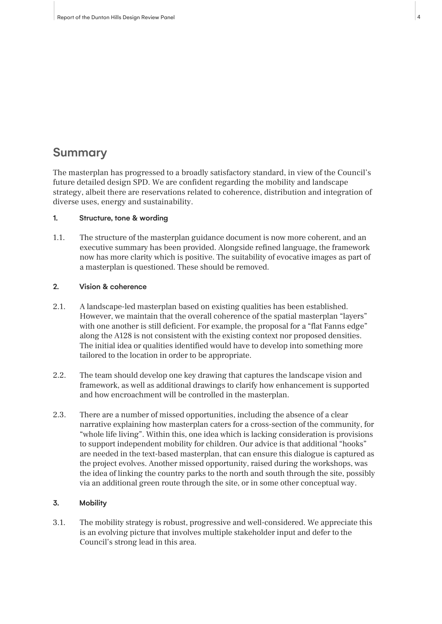## Summary

The masterplan has progressed to a broadly satisfactory standard, in view of the Council's future detailed design SPD. We are confident regarding the mobility and landscape strategy, albeit there are reservations related to coherence, distribution and integration of diverse uses, energy and sustainability.

#### 1. Structure, tone & wording

1.1. The structure of the masterplan guidance document is now more coherent, and an executive summary has been provided. Alongside refined language, the framework now has more clarity which is positive. The suitability of evocative images as part of a masterplan is questioned. These should be removed.

#### 2. Vision & coherence

- 2.1. A landscape-led masterplan based on existing qualities has been established. However, we maintain that the overall coherence of the spatial masterplan "layers" with one another is still deficient. For example, the proposal for a "flat Fanns edge" along the A128 is not consistent with the existing context nor proposed densities. The initial idea or qualities identified would have to develop into something more tailored to the location in order to be appropriate.
- 2.2. The team should develop one key drawing that captures the landscape vision and framework, as well as additional drawings to clarify how enhancement is supported and how encroachment will be controlled in the masterplan.
- 2.3. There are a number of missed opportunities, including the absence of a clear narrative explaining how masterplan caters for a cross-section of the community, for "whole life living". Within this, one idea which is lacking consideration is provisions to support independent mobility for children. Our advice is that additional "hooks" are needed in the text-based masterplan, that can ensure this dialogue is captured as the project evolves. Another missed opportunity, raised during the workshops, was the idea of linking the country parks to the north and south through the site, possibly via an additional green route through the site, or in some other conceptual way.

### 3. Mobility

3.1. The mobility strategy is robust, progressive and well-considered. We appreciate this is an evolving picture that involves multiple stakeholder input and defer to the Council's strong lead in this area.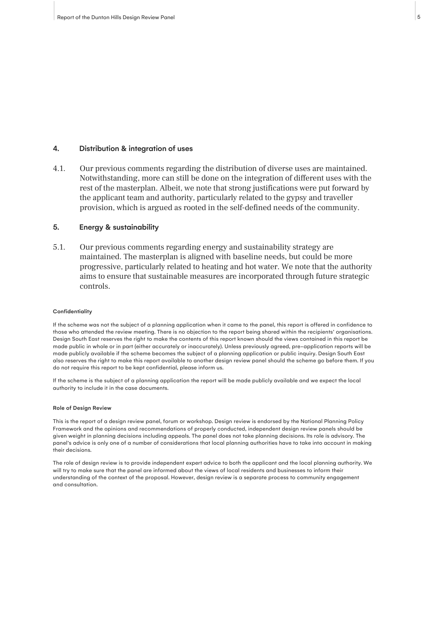## 4. Distribution & integration of uses

4.1. Our previous comments regarding the distribution of diverse uses are maintained. Notwithstanding, more can still be done on the integration of different uses with the rest of the masterplan. Albeit, we note that strong justifications were put forward by the applicant team and authority, particularly related to the gypsy and traveller provision, which is argued as rooted in the self-defined needs of the community.

#### 5. Energy & sustainability

5.1. Our previous comments regarding energy and sustainability strategy are maintained. The masterplan is aligned with baseline needs, but could be more progressive, particularly related to heating and hot water. We note that the authority aims to ensure that sustainable measures are incorporated through future strategic controls.

#### **Confidentiality**

If the scheme was not the subject of a planning application when it came to the panel, this report is offered in confidence to those who attended the review meeting. There is no objection to the report being shared within the recipients' organisations. Design South East reserves the right to make the contents of this report known should the views contained in this report be made public in whole or in part (either accurately or inaccurately). Unless previously agreed, pre-application reports will be made publicly available if the scheme becomes the subject of a planning application or public inquiry. Design South East also reserves the right to make this report available to another design review panel should the scheme go before them. If you do not require this report to be kept confidential, please inform us.

If the scheme is the subject of a planning application the report will be made publicly available and we expect the local authority to include it in the case documents.

#### Role of Design Review

This is the report of a design review panel, forum or workshop. Design review is endorsed by the National Planning Policy Framework and the opinions and recommendations of properly conducted, independent design review panels should be given weight in planning decisions including appeals. The panel does not take planning decisions. Its role is advisory. The panel's advice is only one of a number of considerations that local planning authorities have to take into account in making their decisions.

The role of design review is to provide independent expert advice to both the applicant and the local planning authority. We will try to make sure that the panel are informed about the views of local residents and businesses to inform their understanding of the context of the proposal. However, design review is a separate process to community engagement and consultation.